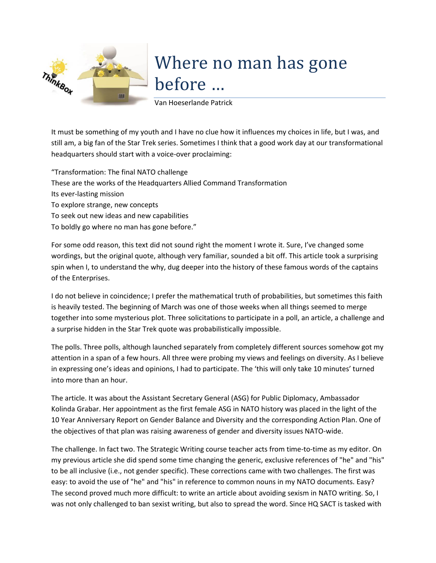

## Where no man has gone before …

Van Hoeserlande Patrick

It must be something of my youth and I have no clue how it influences my choices in life, but I was, and still am, a big fan of the Star Trek series. Sometimes I think that a good work day at our transformational headquarters should start with a voice-over proclaiming:

"Transformation: The final NATO challenge These are the works of the Headquarters Allied Command Transformation Its ever-lasting mission To explore strange, new concepts To seek out new ideas and new capabilities To boldly go where no man has gone before."

For some odd reason, this text did not sound right the moment I wrote it. Sure, I've changed some wordings, but the original quote, although very familiar, sounded a bit off. This article took a surprising spin when I, to understand the why, dug deeper into the history of these famous words of the captains of the Enterprises.

I do not believe in coincidence; I prefer the mathematical truth of probabilities, but sometimes this faith is heavily tested. The beginning of March was one of those weeks when all things seemed to merge together into some mysterious plot. Three solicitations to participate in a poll, an article, a challenge and a surprise hidden in the Star Trek quote was probabilistically impossible.

The polls. Three polls, although launched separately from completely different sources somehow got my attention in a span of a few hours. All three were probing my views and feelings on diversity. As I believe in expressing one's ideas and opinions, I had to participate. The 'this will only take 10 minutes' turned into more than an hour.

The article. It was about the Assistant Secretary General (ASG) for Public Diplomacy, Ambassador Kolinda Grabar. Her appointment as the first female ASG in NATO history was placed in the light of the 10 Year Anniversary Report on Gender Balance and Diversity and the corresponding Action Plan. One of the objectives of that plan was raising awareness of gender and diversity issues NATO-wide.

The challenge. In fact two. The Strategic Writing course teacher acts from time-to-time as my editor. On my previous article she did spend some time changing the generic, exclusive references of "he" and "his" to be all inclusive (i.e., not gender specific). These corrections came with two challenges. The first was easy: to avoid the use of "he" and "his" in reference to common nouns in my NATO documents. Easy? The second proved much more difficult: to write an article about avoiding sexism in NATO writing. So, I was not only challenged to ban sexist writing, but also to spread the word. Since HQ SACT is tasked with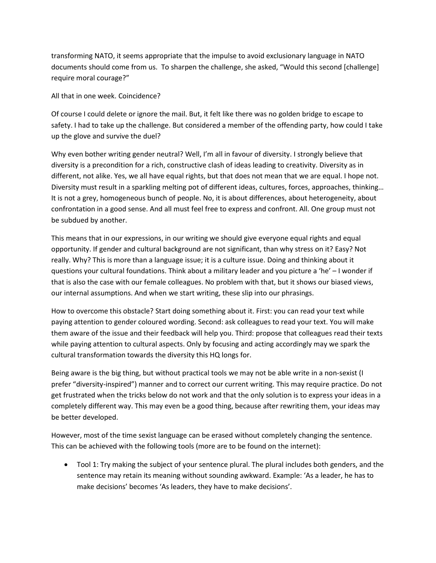transforming NATO, it seems appropriate that the impulse to avoid exclusionary language in NATO documents should come from us. To sharpen the challenge, she asked, "Would this second [challenge] require moral courage?"

All that in one week. Coincidence?

Of course I could delete or ignore the mail. But, it felt like there was no golden bridge to escape to safety. I had to take up the challenge. But considered a member of the offending party, how could I take up the glove and survive the duel?

Why even bother writing gender neutral? Well, I'm all in favour of diversity. I strongly believe that diversity is a precondition for a rich, constructive clash of ideas leading to creativity. Diversity as in different, not alike. Yes, we all have equal rights, but that does not mean that we are equal. I hope not. Diversity must result in a sparkling melting pot of different ideas, cultures, forces, approaches, thinking… It is not a grey, homogeneous bunch of people. No, it is about differences, about heterogeneity, about confrontation in a good sense. And all must feel free to express and confront. All. One group must not be subdued by another.

This means that in our expressions, in our writing we should give everyone equal rights and equal opportunity. If gender and cultural background are not significant, than why stress on it? Easy? Not really. Why? This is more than a language issue; it is a culture issue. Doing and thinking about it questions your cultural foundations. Think about a military leader and you picture a 'he' – I wonder if that is also the case with our female colleagues. No problem with that, but it shows our biased views, our internal assumptions. And when we start writing, these slip into our phrasings.

How to overcome this obstacle? Start doing something about it. First: you can read your text while paying attention to gender coloured wording. Second: ask colleagues to read your text. You will make them aware of the issue and their feedback will help you. Third: propose that colleagues read their texts while paying attention to cultural aspects. Only by focusing and acting accordingly may we spark the cultural transformation towards the diversity this HQ longs for.

Being aware is the big thing, but without practical tools we may not be able write in a non-sexist (I prefer "diversity-inspired") manner and to correct our current writing. This may require practice. Do not get frustrated when the tricks below do not work and that the only solution is to express your ideas in a completely different way. This may even be a good thing, because after rewriting them, your ideas may be better developed.

However, most of the time sexist language can be erased without completely changing the sentence. This can be achieved with the following tools (more are to be found on the internet):

 Tool 1: Try making the subject of your sentence plural. The plural includes both genders, and the sentence may retain its meaning without sounding awkward. Example: 'As a leader, he has to make decisions' becomes 'As leaders, they have to make decisions'.